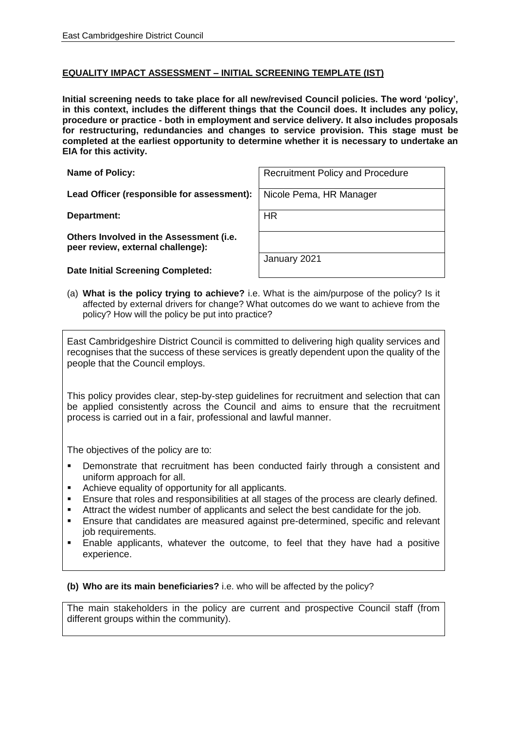## **EQUALITY IMPACT ASSESSMENT – INITIAL SCREENING TEMPLATE (IST)**

**Initial screening needs to take place for all new/revised Council policies. The word 'policy', in this context, includes the different things that the Council does. It includes any policy, procedure or practice - both in employment and service delivery. It also includes proposals for restructuring, redundancies and changes to service provision. This stage must be completed at the earliest opportunity to determine whether it is necessary to undertake an EIA for this activity.**

| <b>Name of Policy:</b> |  |
|------------------------|--|
|------------------------|--|

Lead Officer (responsible for assessment): Nicole Pema, HR Manager

**Department:** HR

**Others Involved in the Assessment (i.e. peer review, external challenge):**

**Date Initial Screening Completed:**

| Name of Policy: | Recruitment Policy and Procedure |
|-----------------|----------------------------------|
|                 |                                  |

January 2021

(a) **What is the policy trying to achieve?** i.e. What is the aim/purpose of the policy? Is it affected by external drivers for change? What outcomes do we want to achieve from the policy? How will the policy be put into practice?

East Cambridgeshire District Council is committed to delivering high quality services and recognises that the success of these services is greatly dependent upon the quality of the people that the Council employs.

This policy provides clear, step-by-step guidelines for recruitment and selection that can be applied consistently across the Council and aims to ensure that the recruitment process is carried out in a fair, professional and lawful manner.

The objectives of the policy are to:

- **•** Demonstrate that recruitment has been conducted fairly through a consistent and uniform approach for all.
- Achieve equality of opportunity for all applicants.
- Ensure that roles and responsibilities at all stages of the process are clearly defined.
- Attract the widest number of applicants and select the best candidate for the job.
- Ensure that candidates are measured against pre-determined, specific and relevant job requirements.
- Enable applicants, whatever the outcome, to feel that they have had a positive experience.

## **(b) Who are its main beneficiaries?** i.e. who will be affected by the policy?

The main stakeholders in the policy are current and prospective Council staff (from different groups within the community).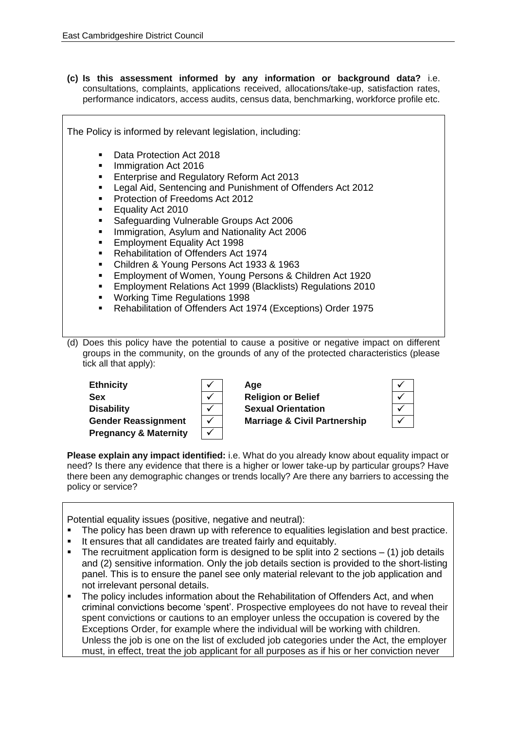**(c) Is this assessment informed by any information or background data?** i.e. consultations, complaints, applications received, allocations/take-up, satisfaction rates, performance indicators, access audits, census data, benchmarking, workforce profile etc.

| The Policy is informed by relevant legislation, including:                                                                                                                                                                                                                                                                                                                                                                                                                                                                                                                                                                                                                                                                                                                                             |  |  |  |
|--------------------------------------------------------------------------------------------------------------------------------------------------------------------------------------------------------------------------------------------------------------------------------------------------------------------------------------------------------------------------------------------------------------------------------------------------------------------------------------------------------------------------------------------------------------------------------------------------------------------------------------------------------------------------------------------------------------------------------------------------------------------------------------------------------|--|--|--|
| Data Protection Act 2018<br>$\blacksquare$<br>Immigration Act 2016<br>٠<br>Enterprise and Regulatory Reform Act 2013<br>п<br>Legal Aid, Sentencing and Punishment of Offenders Act 2012<br>Protection of Freedoms Act 2012<br>٠<br>Equality Act 2010<br>п<br>Safeguarding Vulnerable Groups Act 2006<br>Immigration, Asylum and Nationality Act 2006<br>$\blacksquare$<br><b>Employment Equality Act 1998</b><br>٠<br><b>Rehabilitation of Offenders Act 1974</b><br>$\blacksquare$<br>Children & Young Persons Act 1933 & 1963<br>п<br>Employment of Women, Young Persons & Children Act 1920<br>٠<br>Employment Relations Act 1999 (Blacklists) Regulations 2010<br>٠<br><b>Working Time Regulations 1998</b><br>$\blacksquare$<br>Rehabilitation of Offenders Act 1974 (Exceptions) Order 1975<br>п |  |  |  |
| (d) Does this policy have the potential to cause a positive or negative impact on different<br>groups in the community, on the grounds of any of the protected characteristics (please<br>tick all that apply):                                                                                                                                                                                                                                                                                                                                                                                                                                                                                                                                                                                        |  |  |  |

| <b>Ethnicity</b>                 | $\checkmark$ | Age                                     |  |
|----------------------------------|--------------|-----------------------------------------|--|
| Sex                              |              | <b>Religion or Belief</b>               |  |
| <b>Disability</b>                |              | <b>Sexual Orientation</b>               |  |
| <b>Gender Reassignment</b>       | $\checkmark$ | <b>Marriage &amp; Civil Partnership</b> |  |
| <b>Pregnancy &amp; Maternity</b> | v            |                                         |  |

**Please explain any impact identified:** i.e. What do you already know about equality impact or need? Is there any evidence that there is a higher or lower take-up by particular groups? Have there been any demographic changes or trends locally? Are there any barriers to accessing the policy or service?

Potential equality issues (positive, negative and neutral):

- The policy has been drawn up with reference to equalities legislation and best practice.
- It ensures that all candidates are treated fairly and equitably.
- **•** The recruitment application form is designed to be split into 2 sections  $-$  (1) job details and (2) sensitive information. Only the job details section is provided to the short-listing panel. This is to ensure the panel see only material relevant to the job application and not irrelevant personal details.
- The policy includes information about the Rehabilitation of Offenders Act, and when criminal convictions become 'spent'. Prospective employees do not have to reveal their spent convictions or cautions to an employer unless the occupation is covered by the Exceptions Order, for example where the individual will be working with children. Unless the job is one on the list of excluded job categories under the Act, the employer must, in effect, treat the job applicant for all purposes as if his or her conviction never